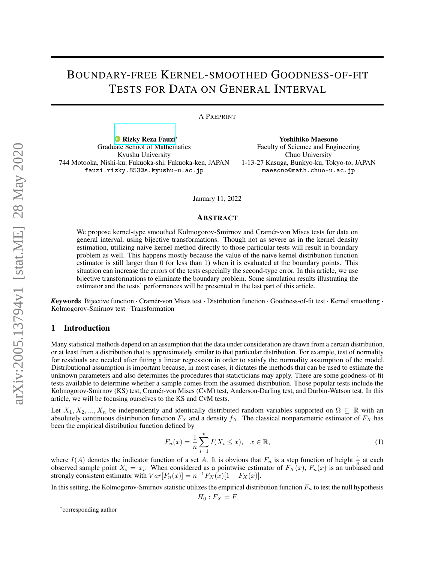# BOUNDARY-FREE KERNEL-SMOOTHED GOODNESS-OF-FIT TESTS FOR DATA ON GENERAL INTERVAL

A PREPRINT

[Rizky Reza Fauzi](https://orcid.org/0000-0002-6939-9465)<sup>∗</sup> Graduate School of Mathematics Kyushu University 744 Motooka, Nishi-ku, Fukuoka-shi, Fukuoka-ken, JAPAN fauzi.rizky.853@s.kyushu-u.ac.jp

Yoshihiko Maesono Faculty of Sciemce and Engineering Chuo University 1-13-27 Kasuga, Bunkyo-ku, Tokyo-to, JAPAN maesono@math.chuo-u.ac.jp

January 11, 2022

### ABSTRACT

We propose kernel-type smoothed Kolmogorov-Smirnov and Cramér-von Mises tests for data on general interval, using bijective transformations. Though not as severe as in the kernel density estimation, utilizing naive kernel method directly to those particular tests will result in boundary problem as well. This happens mostly because the value of the naive kernel distribution function estimator is still larger than 0 (or less than 1) when it is evaluated at the boundary points. This situation can increase the errors of the tests especially the second-type error. In this article, we use bijective transformations to eliminate the boundary problem. Some simulation results illustrating the estimator and the tests' performances will be presented in the last part of this article.

*K*eywords Bijective function · Cramér-von Mises test · Distribution function · Goodness-of-fit test · Kernel smoothing · Kolmogorov-Smirnov test · Transformation

# 1 Introduction

Many statistical methods depend on an assumption that the data under consideration are drawn from a certain distribution, or at least from a distribution that is approximately similar to that particular distribution. For example, test of normality for residuals are needed after fitting a linear regression in order to satisfy the normality assumption of the model. Distributional assumption is important because, in most cases, it dictates the methods that can be used to estimate the unknown parameters and also determines the procedures that staticticians may apply. There are some goodness-of-fit tests available to determine whether a sample comes from the assumed distribution. Those popular tests include the Kolmogorov-Smirnov (KS) test, Cramér-von Mises (CvM) test, Anderson-Darling test, and Durbin-Watson test. In this article, we will be focusing ourselves to the KS and CvM tests.

Let  $X_1, X_2, ..., X_n$  be independently and identically distributed random variables supported on  $\Omega \subseteq \mathbb{R}$  with an absolutely continuous distribution function  $F_X$  and a density  $f_X$ . The classical nonparametric estimator of  $F_X$  has been the empirical distribution function defined by

$$
F_n(x) = \frac{1}{n} \sum_{i=1}^n I(X_i \le x), \quad x \in \mathbb{R},
$$
\n(1)

where  $I(A)$  denotes the indicator function of a set A. It is obvious that  $F_n$  is a step function of height  $\frac{1}{n}$  at each observed sample point  $X_i = x_i$ . When considered as a pointwise estimator of  $F_X(x)$ ,  $F_n(x)$  is an unbiased and  $F_X(x)$ strongly consistent estimator with  $Var[F_n(x)] = n^{-1} F_X(x)[1 - F_X(x)]$ .

In this setting, the Kolmogorov-Smirnov statistic utilizes the empirical distribution function  $F_n$  to test the null hypothesis

 $H_0 : F_X = F$ 

<sup>∗</sup> corresponding author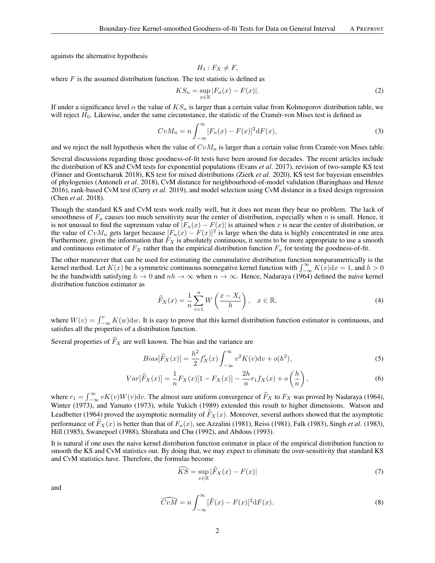againsts the alternative hypothesis

$$
H_1: F_X \neq F,
$$

where  $F$  is the assumed distribution function. The test statistic is defined as

$$
KS_n = \sup_{x \in \mathbb{R}} |F_n(x) - F(x)|. \tag{2}
$$

If under a significance level  $\alpha$  the value of  $KS_n$  is larger than a certain value from Kolmogorov distribution table, we will reject  $H_0$ . Likewise, under the same circumstance, the statistic of the Cramér-von Mises test is defined as

$$
CvM_n = n \int_{-\infty}^{\infty} [F_n(x) - F(x)]^2 dF(x), \qquad (3)
$$

and we reject the null hypothesis when the value of  $CvM_n$  is larger than a certain value from Cramér-von Mises table.

Several discussions regarding those goodness-of-fit tests have been around for decades. The recent articles include the distribution of KS and CvM tests for exponential populations (Evans *et al*. 2017), revision of two-sample KS test (Finner and Gontscharuk 2018), KS test for mixed distributions (Zierk *et al*. 2020), KS test for bayesian ensembles of phylogenies (Antoneli *et al*. 2018), CvM distance for neighbourhood-of-model validation (Baringhaus and Henze 2016), rank-based CvM test (Curry *et al*. 2019), and model selection using CvM distance in a fixed design regression (Chen *et al*. 2018).

Though the standard KS and CvM tests work really well, but it does not mean they bear no problem. The lack of smoothness of  $F_n$  causes too much sensitivity near the center of distribution, especially when n is small. Hence, it is not unusual to find the supremum value of  $|F_n(x) - F(x)|$  is attained when x is near the center of distribution, or the value of  $CvM_n$  gets larger because  $[F_n(x) - F(x)]^2$  is large when the data is highly concentrated in one area. Furthermore, given the information that  $F_X$  is absolutely continuous, it seems to be more appropriate to use a smooth and continuous estimator of  $F_X$  rather than the empirical distribution function  $F_n$  for testing the goodness-of-fit.

The other maneuver that can be used for estimating the cummulative distribution function nonparametrically is the kernel method. Let  $K(x)$  be a symmetric continuous nonnegative kernel function with  $\int_{-\infty}^{\infty} K(x) dx = 1$ , and  $h > 0$ be the bandwidth satisfying  $h \to 0$  and  $nh \to \infty$  when  $n \to \infty$ . Hence, Nadaraya (1964) defined the naive kernel distribution function estimator as

$$
\widehat{F}_X(x) = \frac{1}{n} \sum_{i=1}^n W\left(\frac{x - X_i}{h}\right), \quad x \in \mathbb{R},\tag{4}
$$

where  $W(v) = \int_{-\infty}^{v} K(w)dw$ . It is easy to prove that this kernel distribution function estimator is continuous, and satisfies all the properties of a distribution function.

Several properties of  $\widehat{F}_X$  are well known. The bias and the variance are

$$
Bias[\widehat{F}_X(x)] = \frac{h^2}{2} f'_X(x) \int_{-\infty}^{\infty} v^2 K(v) \mathrm{d}v + o(h^2),\tag{5}
$$

$$
Var[\widehat{F}_X(x)] = \frac{1}{n} F_X(x)[1 - F_X(x)] - \frac{2h}{n} r_1 f_X(x) + o\left(\frac{h}{n}\right),\tag{6}
$$

where  $r_1 = \int_{-\infty}^{\infty} v K(v) W(v) \, dv$ . The almost sure uniform convergence of  $\hat{F}_X$  to  $F_X$  was proved by Nadaraya (1964), Winter (1973), and Yamato (1973), while Yukich (1989) extended this result to higher dimensions. Watson and Leadbetter (1964) proved the asymptotic normality of  $\widehat{F}_X(x)$ . Moreover, several authors showed that the asymptotic performance of  $\widehat{F}_X(x)$  is better than that of  $F_n(x)$ , see Azzalini (1981), Reiss (1981), Falk (1983), Singh *et al.* (1983), Hill (1985), Swanepoel (1988), Shirahata and Chu (1992), and Abdous (1993).

It is natural if one uses the naive kernel distribution function estimator in place of the empirical distribution function to smooth the KS and CvM statistics out. By doing that, we may expect to eliminate the over-sensitivity that standard KS and CvM statistics have. Therefore, the formulas become

$$
\widehat{KS} = \sup_{x \in \mathbb{R}} |\widehat{F}_X(x) - F(x)| \tag{7}
$$

and

$$
\widehat{CvM} = n \int_{-\infty}^{\infty} [\widehat{F}(x) - F(x)]^2 dF(x).
$$
\n(8)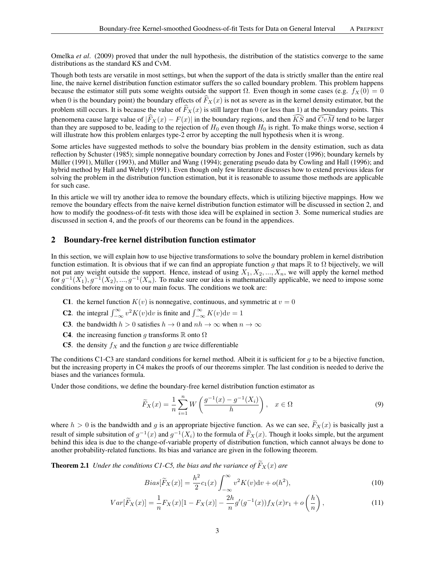Omelka *et al*. (2009) proved that under the null hypothesis, the distribution of the statistics converge to the same distributions as the standard KS and CvM.

Though both tests are versatile in most settings, but when the support of the data is strictly smaller than the entire real line, the naive kernel distribution function estimator suffers the so called boundary problem. This problem happens because the estimator still puts some weights outside the support  $\Omega$ . Even though in some cases (e.g.  $f_X(0) = 0$ when 0 is the boundary point) the boundary effects of  $\widehat{F}_X(x)$  is not as severe as in the kernel density estimator, but the problem still occurs. It is because the value of  $\widehat{F}_X(x)$  is still larger than 0 (or less than 1) at the boundary points. This phenomena cause large value of  $|\widehat{F}_X(x) - F(x)|$  in the boundary regions, and then  $\widehat{KS}$  and  $\widehat{CvM}$  tend to be larger than they are supposed to be, leading to the rejection of  $H_0$  even though  $H_0$  is right. To mak will illustrate how this problem enlarges type-2 error by accepting the null hypothesis when it is wrong.

Some articles have suggested methods to solve the boundary bias problem in the density estimation, such as data reflection by Schuster (1985); simple nonnegative boundary correction by Jones and Foster (1996); boundary kernels by Müller (1991), Müller (1993), and Müller and Wang (1994); generating pseudo data by Cowling and Hall (1996); and hybrid method by Hall and Wehrly (1991). Even though only few literature discusses how to extend previous ideas for solving the problem in the distribution function estimation, but it is reasonable to assume those methods are applicable for such case.

In this article we will try another idea to remove the boundary effects, which is utilizing bijective mappings. How we remove the boundary effects from the naive kernel distribution function estimator will be discussed in section 2, and how to modify the goodness-of-fit tests with those idea will be explained in section 3. Some numerical studies are discussed in section 4, and the proofs of our theorems can be found in the appendices.

# 2 Boundary-free kernel distribution function estimator

In this section, we will explain how to use bijective transformations to solve the boundary problem in kernel distribution function estimation. It is obvious that if we can find an appropiate function q that maps  $\mathbb R$  to  $\Omega$  bijectively, we will not put any weight outside the support. Hence, instead of using  $X_1, X_2, ..., X_n$ , we will apply the kernel method for  $g^{-1}(X_1), g^{-1}(X_2), ..., g^{-1}(X_n)$ . To make sure our idea is mathematically applicable, we need to impose some conditions before moving on to our main focus. The conditions we took are:

- **C1.** the kernel function  $K(v)$  is nonnegative, continuous, and symmetric at  $v = 0$
- **C2**. the integral  $\int_{-\infty}^{\infty} v^2 K(v) dv$  is finite and  $\int_{-\infty}^{\infty} K(v) dv = 1$
- **C3**. the bandwidth  $h > 0$  satisfies  $h \to 0$  and  $nh \to \infty$  when  $n \to \infty$
- **C4.** the increasing function g transforms R onto  $\Omega$
- C5. the density  $f_X$  and the function g are twice differentiable

The conditions C1-C3 are standard conditions for kernel method. Albeit it is sufficient for  $q$  to be a bijective function, but the increasing property in C4 makes the proofs of our theorems simpler. The last condition is needed to derive the biases and the variances formula.

Under those conditions, we define the boundary-free kernel distribution function estimator as

$$
\widetilde{F}_X(x) = \frac{1}{n} \sum_{i=1}^n W\left(\frac{g^{-1}(x) - g^{-1}(X_i)}{h}\right), \quad x \in \Omega
$$
\n(9)

where  $h > 0$  is the bandwidth and g is an appropriate bijective function. As we can see,  $F_X(x)$  is basically just a result of simple subsitution of  $g^{-1}(x)$  and  $g^{-1}(X_i)$  to the formula of  $\widehat{F}_X(x)$ . Though it looks simple, but the argument behind this idea is due to the change-of-variable property of distribution function, which can another probability-related functions. Its bias and variance are given in the following theorem.

**Theorem 2.1** *Under the conditions C1-C5, the bias and the variance of*  $\widetilde{F}_X(x)$  *are* 

<span id="page-2-0"></span>
$$
Bias[\widetilde{F}_X(x)] = \frac{h^2}{2} c_1(x) \int_{-\infty}^{\infty} v^2 K(v) \mathrm{d}v + o(h^2),\tag{10}
$$

$$
Var[\widetilde{F}_X(x)] = \frac{1}{n} F_X(x)[1 - F_X(x)] - \frac{2h}{n} g'(g^{-1}(x)) f_X(x) r_1 + o\left(\frac{h}{n}\right),\tag{11}
$$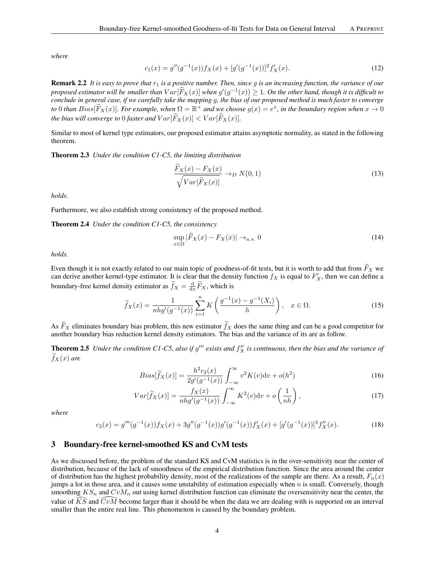*where*

$$
c_1(x) = g''(g^{-1}(x))f_X(x) + [g'(g^{-1}(x))]^2 f'_X(x).
$$
\n(12)

**Remark 2.2** It is easy to prove that  $r_1$  is a positive number. Then, since g is an increasing function, the variance of our *proposed estimator will be smaller than*  $Var[\hat{F}_X(x)]$  when  $g'(g^{-1}(x)) \geq 1$ . On the other hand, though it is difficult to *conclude in general case, if we carefully take the mapping* g*, the bias of our proposed method is much faster to converge*  $\mathcal{L}$  to 0 *than*  $Bias[\widehat{F}_X(x)]$ *. For example, when*  $\Omega = \mathbb{R}^+$  *and we choose*  $g(x) = e^x$ *, in the boundary region when*  $x \to 0$ *the bias will converge to* 0 *faster and*  $Var[\widetilde{F}_X(x)] < Var[\widehat{F}_X(x)]$ .

<span id="page-3-0"></span>Similar to most of kernel type estimators, our proposed estimator attains asymptotic normality, as stated in the following theorem.

Theorem 2.3 *Under the condition C1-C5, the limiting distribution*

$$
\frac{F_X(x) - F_X(x)}{\sqrt{Var[\widetilde{F}_X(x)]}} \to_D N(0, 1)
$$
\n(13)

*holds.*

Furthermore, we also establish strong consistency of the proposed method.

Theorem 2.4 *Under the condition C1-C5, the consistency*

<span id="page-3-2"></span><span id="page-3-1"></span>
$$
\sup_{x \in \Omega} |\widetilde{F}_X(x) - F_X(x)| \to_{a.s.} 0
$$
\n(14)

*holds.*

Even though it is not exactly related to our main topic of goodness-of-fit tests, but it is worth to add that from  $\tilde{F}_X$  we can derive another kernel-type estimator. It is clear that the density function  $f_X$  is equal to  $F'_X$ , then we can define a boundary-free kernel density estimator as  $\tilde{f}_X = \frac{d}{dx} \tilde{F}_X$ , which is

$$
\widetilde{f}_X(x) = \frac{1}{nhg'(g^{-1}(x))} \sum_{i=1}^n K\left(\frac{g^{-1}(x) - g^{-1}(X_i)}{h}\right), \quad x \in \Omega.
$$
\n(15)

As  $\tilde{F}_X$  eliminates boundary bias problem, this new estimator  $\tilde{f}_X$  does the same thing and can be a good competitor for another boundary bias reduction kernel density estimators. The bias and the variance of its are as follow.

**Theorem 2.5** Under the condition C1-C5, also if  $g'''$  exists and  $f''_X$  is continuous, then the bias and the variance of  $f_X(x)$  *are* 

$$
Bias[\widetilde{f}_X(x)] = \frac{h^2 c_2(x)}{2g'(g^{-1}(x))} \int_{-\infty}^{\infty} v^2 K(v) \mathrm{d}v + o(h^2)
$$
 (16)

$$
Var[\widetilde{f}_X(x)] = \frac{f_X(x)}{nhg'(g^{-1}(x))} \int_{-\infty}^{\infty} K^2(v)dv + o\left(\frac{1}{nh}\right),\tag{17}
$$

*where*

$$
c_2(x) = g'''(g^{-1}(x))f_X(x) + 3g''(g^{-1}(x))g'(g^{-1}(x))f'_X(x) + [g'(g^{-1}(x))]^3f''_X(x).
$$
 (18)

### 3 Boundary-free kernel-smoothed KS and CvM tests

As we discussed before, the problem of the standard KS and CvM statistics is in the over-sensitivity near the center of distribution, because of the lack of smoothness of the empirical distribution function. Since the area around the center of distribution has the highest probability density, most of the realizations of the sample are there. As a result,  $F_n(x)$ jumps a lot in those area, and it causes some unstability of estimation especially when  $n$  is small. Conversely, though smoothing  $KS_n$  and  $CvM_n$  out using kernel distribution function can eliminate the oversensitivity near the center, the value of KS and  $Cv\overline{M}$  become larger than it should be when the data we are dealing with is supported on an interval smaller than the entire real line. This phenomenon is caused by the boundary problem.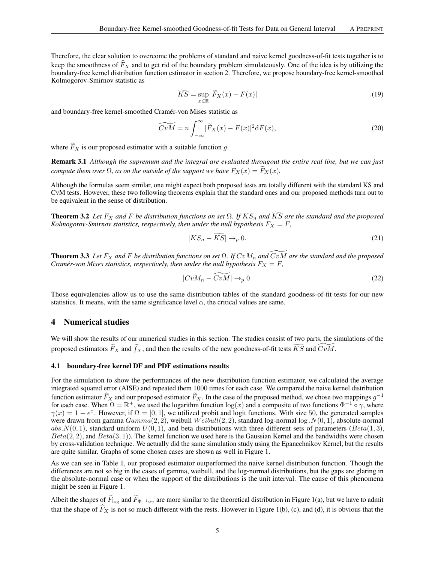Therefore, the clear solution to overcome the problems of standard and naive kernel goodness-of-fit tests together is to keep the smoothness of  $\hat{F}_X$  and to get rid of the boundary problem simulateously. One of the idea is by utilizing the boundary-free kernel distribution function estimator in section 2. Therefore, we propose boundary-free kernel-smoothed Kolmogorov-Smirnov statistic as

$$
\widetilde{KS} = \sup_{x \in \mathbb{R}} |\widetilde{F}_X(x) - F(x)| \tag{19}
$$

and boundary-free kernel-smoothed Cramér-von Mises statistic as

$$
\widetilde{CvM} = n \int_{-\infty}^{\infty} [\widetilde{F}_X(x) - F(x)]^2 dF(x), \qquad (20)
$$

where  $\widetilde{F}_X$  is our proposed estimator with a suitable function g.

Remark 3.1 *Although the supremum and the integral are evaluated througout the entire real line, but we can just compute them over*  $\Omega$ *, as on the outside of the support we have*  $F_X(x) = F_X(x)$ *.* 

Although the formulas seem similar, one might expect both proposed tests are totally different with the standard KS and CvM tests. However, these two following theorems explain that the standard ones and our proposed methods turn out to be equivalent in the sense of distribution.

**Theorem 3.2** *Let*  $F_X$  *and*  $F$  *be distribution functions on set*  $\Omega$ *. If*  $KS_n$  *and*  $\widetilde{KS}$  *are the standard and the proposed Kolmogorov-Smirnov statistics, respectively, then under the null hypothesis*  $F_X = F$ ,

<span id="page-4-0"></span>
$$
|KS_n - \widetilde{KS}| \to_p 0. \tag{21}
$$

<span id="page-4-1"></span>**Theorem 3.3** Let  $F_X$  and F be distribution functions on set  $\Omega$ . If  $CvM_n$  and  $\overline{CvM}$  are the standard and the proposed *Cramér-von Mises statistics, respectively, then under the null hypothesis*  $F_X = F$ ,

$$
|CuM_n - \widetilde{CuM}| \to_p 0. \tag{22}
$$

Those equivalencies allow us to use the same distribution tables of the standard goodness-of-fit tests for our new statistics. It means, with the same significance level  $\alpha$ , the critical values are same.

### 4 Numerical studies

We will show the results of our numerical studies in this section. The studies consist of two parts, the simulations of the proposed estimators  $\widetilde{F}_X$  and  $\widetilde{f}_X$ , and then the results of the new goodness-of-fit tests  $\widetilde{KS}$  and  $\widetilde{CvM}$ .

### 4.1 boundary-free kernel DF and PDF estimations results

For the simulation to show the performances of the new distribution function estimator, we calculated the average integrated squared error (AISE) and repeated them 1000 times for each case. We compared the naive kernel distribution function estimator  $\widehat{F}_X$  and our proposed estimator  $\widetilde{F}_X$ . In the case of the proposed method, we chose two mappings  $g^{-1}$ for each case. When  $\Omega = \mathbb{R}^+$ , we used the logarithm function  $\log(x)$  and a composite of two functions  $\Phi^{-1} \circ \gamma$ , where  $\gamma(x) = 1 - e^x$ . However, if  $\Omega = [0, 1]$ , we utilized probit and logit functions. With size 50, the generated samples were drawn from gamma  $Gamma(2, 2)$ , weibull  $Weibull(2, 2)$ , standard log-normal log  $N(0, 1)$ , absolute-normal abs.  $N(0, 1)$ , standard uniform  $U(0, 1)$ , and beta distributions with three different sets of parameters (Beta(1,3),  $Beta(2, 2)$ , and  $Beta(3, 1)$ ). The kernel function we used here is the Gaussian Kernel and the bandwidths were chosen by cross-validation technique. We actually did the same simulation study using the Epanechnikov Kernel, but the results are quite similar. Graphs of some chosen cases are shown as well in Figure 1.

As we can see in Table 1, our proposed estimator outperformed the naive kernel distribution function. Though the differences are not so big in the cases of gamma, weibull, and the log-normal distributions, but the gaps are glaring in the absolute-normal case or when the support of the distributions is the unit interval. The cause of this phenomena might be seen in Figure 1.

Albeit the shapes of  $F_{\log}$  and  $F_{\Phi^{-1} \circ \gamma}$  are more similar to the theoretical distribution in Figure 1(a), but we have to admit that the shape of  $\widehat{F}_X$  is not so much different with the rests. However in Figure 1(b), (c), and (d), it is obvious that the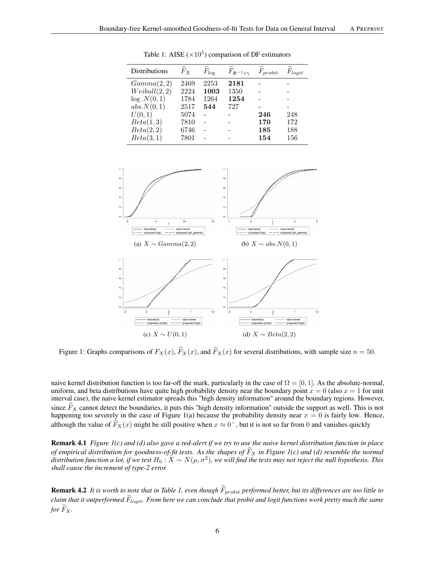| <b>Distributions</b> | $F_X$ | $F_{\log}$ | $F_{\Phi^{-1}\circ\gamma}$ | $F_{probit}$ | $F_{logit}$ |
|----------------------|-------|------------|----------------------------|--------------|-------------|
| Gamma(2,2)           | 2469  | 2253       | 2181                       |              |             |
| Weibull(2,2)         | 2224  | 1003       | 1350                       |              |             |
| log.N(0,1)           | 1784  | 1264       | 1254                       |              |             |
| abs.N(0,1)           | 2517  | 544        | 727                        |              |             |
| U(0,1)               | 5074  |            |                            | 246          | 248         |
| Beta(1,3)            | 7810  |            |                            | 170          | 172         |
| Beta(2,2)            | 6746  |            |                            | 185          | 188         |
| Beta(3,1)            | 7801  |            |                            | 154          | 156         |
|                      |       |            |                            |              |             |

Table 1: AISE ( $\times 10^5$ ) comparison of DF estimators



Figure 1: Graphs comparisons of  $F_X(x)$ ,  $\hat{F}_X(x)$ , and  $\tilde{F}_X(x)$  for several distributions, with sample size  $n = 50$ .

naive kernel distribution function is too far-off the mark, particularly in the case of  $\Omega = [0, 1]$ . As the absolute-normal, uniform, and beta distributions have quite high probability density near the boundary point  $x = 0$  (also  $x = 1$  for unit interval case), the naive kernel estimator spreads this "high density information" around the boundary regions. However, since  $\widehat{F}_X$  cannot detect the boundaries, it puts this "high density information" outside the support as well. This is not happening too severely in the case of Figure 1(a) because the probability density near  $x = 0$  is fairly low. Hence, although the value of  $\widehat{F}_X(x)$  might be still positive when  $x \approx 0^-$ , but it is not so far from 0 and vanishes quickly

Remark 4.1 *Figure 1(c) and (d) also gave a red-alert if we try to use the naive kernel distribution function in place* of empirical distribution for goodness-of-fit tests. As the shapes of  $F_X$  in Figure 1(c) and (d) resemble the normal<br>distribution function a lot, if we test  $H_0: X \sim N(\mu, \sigma^2)$ , we will find the tests may not reject the n *shall cause the increment of type-2 error.*

**Remark 4.2** It is worth to note that in Table 1, even though  $\widetilde{F}_{probit}$  performed better, but its differences are too little to *claim that it outperformed*  $F_{logit}$ . From here we can conclude that probit and logit functions work pretty much the same *for*  $F_X$ .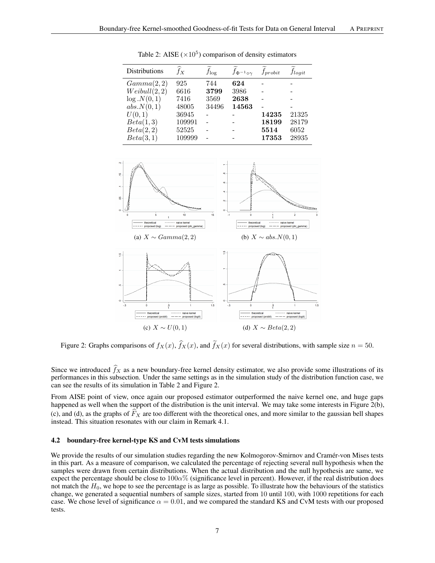| $f_X$  | $f_{\log}$ | $f_{\Phi^{-1}\circ\gamma}$ | $f_{probit}$ | $f_{logit}$ |
|--------|------------|----------------------------|--------------|-------------|
| 925    | 744        | 624                        |              |             |
| 6616   | 3799       | 3986                       |              |             |
| 7416   | 3569       | 2638                       |              |             |
| 48005  | 34496      | 14563                      |              |             |
| 36945  |            |                            | 14235        | 21325       |
| 109991 |            |                            | 18199        | 28179       |
| 52525  |            |                            | 5514         | 6052        |
| 109999 |            |                            | 17353        | 28935       |
|        |            |                            |              |             |

Table 2: AISE ( $\times$ 10<sup>5</sup>) comparison of density estimators



Figure 2: Graphs comparisons of  $f_X(x)$ ,  $\hat{f}_X(x)$ , and  $\tilde{f}_X(x)$  for several distributions, with sample size  $n = 50$ .

Since we introduced  $\hat{f}_X$  as a new boundary-free kernel density estimator, we also provide some illustrations of its performances in this subsection. Under the same settings as in the simulation study of the distribution function case, we can see the results of its simulation in Table 2 and Figure 2.

From AISE point of view, once again our proposed estimator outperformed the naive kernel one, and huge gaps happened as well when the support of the distribution is the unit interval. We may take some interests in Figure  $2(b)$ , (c), and (d), as the graphs of  $\overline{F}_X$  are too different with the theoretical ones, and more similar to the gaussian bell shapes instead. This situation resonates with our claim in Remark 4.1.

### 4.2 boundary-free kernel-type KS and CvM tests simulations

We provide the results of our simulation studies regarding the new Kolmogorov-Smirnov and Cramér-von Mises tests in this part. As a measure of comparison, we calculated the percentage of rejecting several null hypothesis when the samples were drawn from certain distributions. When the actual distribution and the null hypothesis are same, we expect the percentage should be close to  $100\alpha\%$  (significance level in percent). However, if the real distribution does not match the  $H_0$ , we hope to see the percentage is as large as possible. To illustrate how the behaviours of the statistics change, we generated a sequential numbers of sample sizes, started from 10 until 100, with 1000 repetitions for each case. We chose level of significance  $\alpha = 0.01$ , and we compared the standard KS and CvM tests with our proposed tests.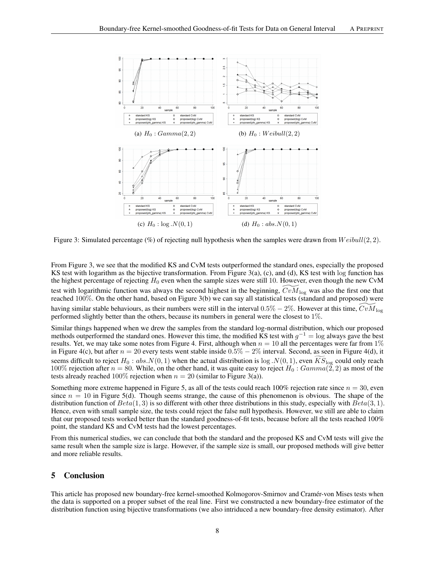

Figure 3: Simulated percentage (%) of rejecting null hypothesis when the samples were drawn from  $Weibull(2, 2)$ .

From Figure 3, we see that the modified KS and CvM tests outperformed the standard ones, especially the proposed KS test with logarithm as the bijective transformation. From Figure 3(a), (c), and (d), KS test with log function has the highest percentage of rejecting  $H_0$  even when the sample sizes were still 10. However, even though the new CvM test with logarithmic function was always the second highest in the beginning,  $CvM_{\text{log}}$  was also the first one that reached 100%. On the other hand, based on Figure 3(b) we can say all statistical tests (standard and proposed) were having similar stable behaviours, as their numbers were still in the interval  $0.5\% - 2\%$ . However at this time,  $CvM_{\text{log}}$ performed slightly better than the others, because its numbers in general were the closest to 1%.

Similar things happened when we drew the samples from the standard log-normal distribution, which our proposed methods outperformed the standard ones. However this time, the modified KS test with  $g^{-1} = \log$  always gave the best results. Yet, we may take some notes from Figure 4. First, although when  $n = 10$  all the percentages were far from 1% in Figure 4(c), but after  $n = 20$  every tests went stable inside  $0.5\% - 2\%$  interval. Second, as seen in Figure 4(d), it seems difficult to reject  $H_0: abs.N(0, 1)$  when the actual distribution is log  $.N(0, 1)$ , even  $KS<sub>log</sub>$  could only reach 100% rejection after  $n = 80$ . While, on the other hand, it was quite easy to reject  $H_0$ :  $Gamma(2, 2)$  as most of the tests already reached 100% rejection when  $n = 20$  (similar to Figure 3(a)).

Something more extreme happened in Figure 5, as all of the tests could reach 100% rejection rate since  $n = 30$ , even since  $n = 10$  in Figure 5(d). Though seems strange, the cause of this phenomenon is obvious. The shape of the distribution function of  $Beta(1, 3)$  is so different with other three distributions in this study, especially with  $Beta(3, 1)$ . Hence, even with small sample size, the tests could reject the false null hypothesis. However, we still are able to claim that our proposed tests worked better than the standard goodness-of-fit tests, because before all the tests reached 100% point, the standard KS and CvM tests had the lowest percentages.

From this numerical studies, we can conclude that both the standard and the proposed KS and CvM tests will give the same result when the sample size is large. However, if the sample size is small, our proposed methods will give better and more reliable results.

# 5 Conclusion

This article has proposed new boundary-free kernel-smoothed Kolmogorov-Smirnov and Cramér-von Mises tests when the data is supported on a proper subset of the real line. First we constructed a new boundary-free estimator of the distribution function using bijective transformations (we also intriduced a new boundary-free density estimator). After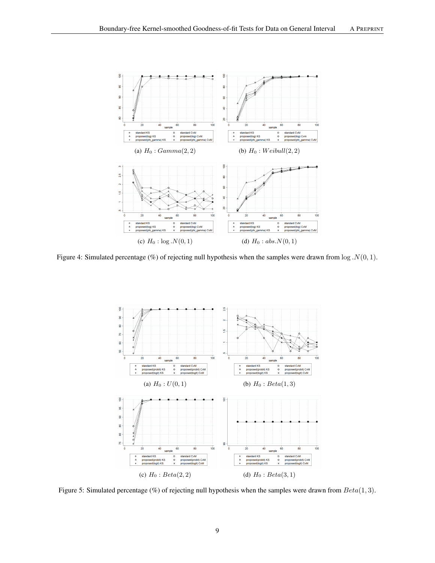

Figure 4: Simulated percentage (%) of rejecting null hypothesis when the samples were drawn from  $\log N(0, 1)$ .



Figure 5: Simulated percentage (%) of rejecting null hypothesis when the samples were drawn from  $Beta(1, 3)$ .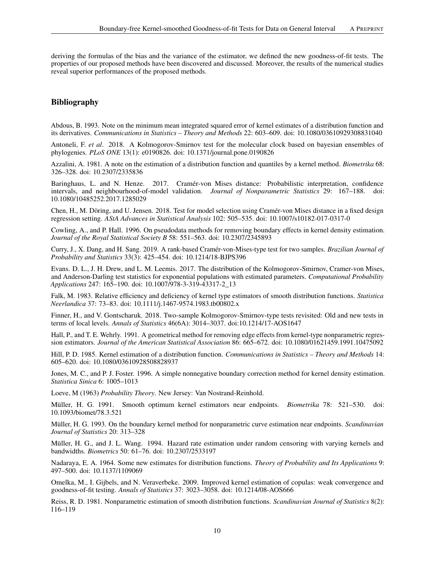deriving the formulas of the bias and the variance of the estimator, we defined the new goodness-of-fit tests. The properties of our proposed methods have been discovered and discussed. Moreover, the results of the numerical studies reveal superior performances of the proposed methods.

# Bibliography

Abdous, B. 1993. Note on the minimum mean integrated squared error of kernel estimates of a distribution function and its derivatives. *Communications in Statistics – Theory and Methods* 22: 603–609. doi: 10.1080/03610929308831040

Antoneli, F. *et al*. 2018. A Kolmogorov-Smirnov test for the molecular clock based on bayesian ensembles of phylogenies. *PLoS ONE* 13(1): e0190826. doi: 10.1371/journal.pone.0190826

Azzalini, A. 1981. A note on the estimation of a distribution function and quantiles by a kernel method. *Biometrika* 68: 326–328. doi: 10.2307/2335836

Baringhaus, L. and N. Henze. 2017. Cramér-von Mises distance: Probabilistic interpretation, confidence intervals, and neighbourhood-of-model validation. *Journal of Nonparametric Statistics* 29: 167–188. doi: 10.1080/10485252.2017.1285029

Chen, H., M. Döring, and U. Jensen. 2018. Test for model selection using Cramér-von Mises distance in a fixed design regression setting. *AStA Advances in Statistical Analysis* 102: 505–535. doi: 10.1007/s10182-017-0317-0

Cowling, A., and P. Hall. 1996. On pseudodata methods for removing boundary effects in kernel density estimation. *Journal of the Royal Statistical Society B* 58: 551–563. doi: 10.2307/2345893

Curry, J., X. Dang, and H. Sang. 2019. A rank-based Cramér-von-Mises-type test for two samples. *Brazilian Journal of Probability and Statistics* 33(3): 425–454. doi: 10.1214/18-BJPS396

Evans. D. L., J. H. Drew, and L. M. Leemis. 2017. The distribution of the Kolmogorov-Smirnov, Cramer-von Mises, and Anderson-Darling test statistics for exponential populations with estimated parameters. *Computational Probability Applications* 247: 165–190. doi: 10.1007/978-3-319-43317-2\_13

Falk, M. 1983. Relative efficiency and deficiency of kernel type estimators of smooth distribution functions. *Statistica Neerlandica* 37: 73–83. doi: 10.1111/j.1467-9574.1983.tb00802.x

Finner, H., and V. Gontscharuk. 2018. Two-sample Kolmogorov-Smirnov-type tests revisited: Old and new tests in terms of local levels. *Annals of Statistics* 46(6A): 3014–3037. doi:10.1214/17-AOS1647

Hall, P., and T. E. Wehrly. 1991. A geometrical method for removing edge effects from kernel-type nonparametric regression estimators. *Journal of the American Statistical Association* 86: 665–672. doi: 10.1080/01621459.1991.10475092

Hill, P. D. 1985. Kernel estimation of a distribution function. *Communications in Statistics – Theory and Methods* 14: 605–620. doi: 10.1080/03610928508828937

Jones, M. C., and P. J. Foster. 1996. A simple nonnegative boundary correction method for kernel density estimation. *Statistica Sinica* 6: 1005–1013

Loeve, M (1963) *Probability Theory*. New Jersey: Van Nostrand-Reinhold.

Müller, H. G. 1991. Smooth optimum kernel estimators near endpoints. *Biometrika* 78: 521–530. doi: 10.1093/biomet/78.3.521

Müller, H. G. 1993. On the boundary kernel method for nonparametric curve estimation near endpoints. *Scandinavian Journal of Statistics* 20: 313–328

Müller, H. G., and J. L. Wang. 1994. Hazard rate estimation under random censoring with varying kernels and bandwidths. *Biometrics* 50: 61–76. doi: 10.2307/2533197

Nadaraya, E. A. 1964. Some new estimates for distribution functions. *Theory of Probability and Its Applications* 9: 497–500. doi: 10.1137/1109069

Omelka, M., I. Gijbels, and N. Veraverbeke. 2009. Improved kernel estimation of copulas: weak convergence and goodness-of-fit testing. *Annals of Statistics* 37: 3023–3058. doi: 10.1214/08-AOS666

Reiss, R. D. 1981. Nonparametric estimation of smooth distribution functions. *Scandinavian Journal of Statistics* 8(2): 116–119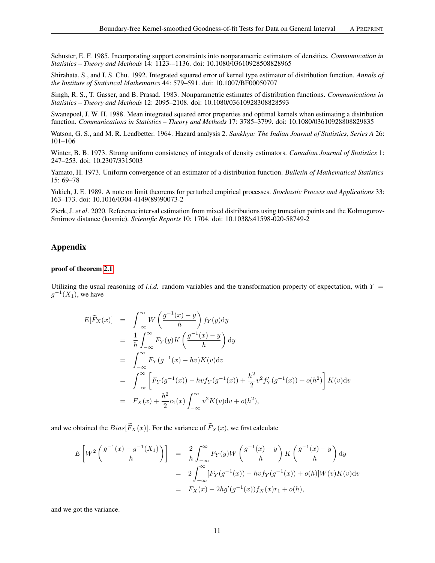Schuster, E. F. 1985. Incorporating support constraints into nonparametric estimators of densities. *Communication in Statistics – Theory and Methods* 14: 1123-–1136. doi: 10.1080/03610928508828965

Shirahata, S., and I. S. Chu. 1992. Integrated squared error of kernel type estimator of distribution function. *Annals of the Institute of Statistical Mathematics* 44: 579–591. doi: 10.1007/BF00050707

Singh, R. S., T. Gasser, and B. Prasad. 1983. Nonparametric estimates of distribution functions. *Communications in Statistics – Theory and Methods* 12: 2095–2108. doi: 10.1080/03610928308828593

Swanepoel, J. W. H. 1988. Mean integrated squared error properties and optimal kernels when estimating a distribution function. *Communications in Statistics – Theory and Methods* 17: 3785–3799. doi: 10.1080/03610928808829835

Watson, G. S., and M. R. Leadbetter. 1964. Hazard analysis 2. *Sankhyā: The Indian Journal of Statistics, Series A* 26: 101–106

Winter, B. B. 1973. Strong uniform consistency of integrals of density estimators. *Canadian Journal of Statistics* 1: 247–253. doi: 10.2307/3315003

Yamato, H. 1973. Uniform convergence of an estimator of a distribution function. *Bulletin of Mathematical Statistics* 15: 69–78

Yukich, J. E. 1989. A note on limit theorems for perturbed empirical processes. *Stochastic Process and Applications* 33: 163–173. doi: 10.1016/0304-4149(89)90073-2

Zierk, J. *et al*. 2020. Reference interval estimation from mixed distributions using truncation points and the Kolmogorov-Smirnov distance (kosmic). *Scientific Reports* 10: 1704. doi: 10.1038/s41598-020-58749-2

# Appendix

### proof of theorem [2.1](#page-2-0)

Utilizing the usual reasoning of *i.i.d.* random variables and the transformation property of expectation, with  $Y =$  $g^{-1}(X_1)$ , we have

$$
E[\widetilde{F}_X(x)] = \int_{-\infty}^{\infty} W\left(\frac{g^{-1}(x) - y}{h}\right) f_Y(y) dy
$$
  
\n
$$
= \frac{1}{h} \int_{-\infty}^{\infty} F_Y(y) K\left(\frac{g^{-1}(x) - y}{h}\right) dy
$$
  
\n
$$
= \int_{-\infty}^{\infty} F_Y(g^{-1}(x) - hv) K(v) dv
$$
  
\n
$$
= \int_{-\infty}^{\infty} \left[ F_Y(g^{-1}(x)) - hv f_Y(g^{-1}(x)) + \frac{h^2}{2} v^2 f'_Y(g^{-1}(x)) + o(h^2) \right] K(v) dv
$$
  
\n
$$
= F_X(x) + \frac{h^2}{2} c_1(x) \int_{-\infty}^{\infty} v^2 K(v) dv + o(h^2),
$$

and we obtained the  $Bias[\widetilde{F}_X(x)]$ . For the variance of  $\widetilde{F}_X(x)$ , we first calculate

$$
E\left[W^2\left(\frac{g^{-1}(x) - g^{-1}(X_1)}{h}\right)\right] = \frac{2}{h} \int_{-\infty}^{\infty} F_Y(y)W\left(\frac{g^{-1}(x) - y}{h}\right) K\left(\frac{g^{-1}(x) - y}{h}\right) dy
$$
  

$$
= 2 \int_{-\infty}^{\infty} [F_Y(g^{-1}(x)) - hvf_Y(g^{-1}(x)) + o(h)]W(v)K(v)dv
$$
  

$$
= F_X(x) - 2hg'(g^{-1}(x))f_X(x)r_1 + o(h),
$$

and we got the variance.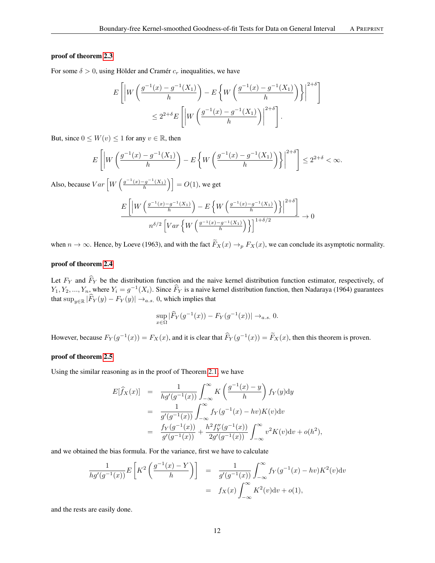### proof of theorem [2.3](#page-3-0)

For some  $\delta > 0$ , using Hölder and Cramér  $c_r$  inequalities, we have

$$
E\left[\left|W\left(\frac{g^{-1}(x) - g^{-1}(X_1)}{h}\right) - E\left\{W\left(\frac{g^{-1}(x) - g^{-1}(X_1)}{h}\right)\right\}\right|^{2+\delta}\right]
$$
  

$$
\leq 2^{2+\delta}E\left[\left|W\left(\frac{g^{-1}(x) - g^{-1}(X_1)}{h}\right)\right|^{2+\delta}\right].
$$

But, since  $0 \leq W(v) \leq 1$  for any  $v \in \mathbb{R}$ , then

$$
E\left[\left|W\left(\frac{g^{-1}(x)-g^{-1}(X_1)}{h}\right)-E\left\{W\left(\frac{g^{-1}(x)-g^{-1}(X_1)}{h}\right)\right\}\right|^{2+\delta}\right] \leq 2^{2+\delta} < \infty.
$$

Also, because  $Var\left[W\left(\frac{g^{-1}(x)-g^{-1}(X_1)}{h}\right)\right] = O(1)$ , we get

$$
\frac{E\left[\left|W\left(\frac{g^{-1}(x)-g^{-1}(X_1)}{h}\right)-E\left\{W\left(\frac{g^{-1}(x)-g^{-1}(X_1)}{h}\right)\right\}\right|^{2+\delta}\right]}{n^{\delta/2}\left[Var\left\{W\left(\frac{g^{-1}(x)-g^{-1}(X_1)}{h}\right)\right\}\right]^{1+\delta/2}}\to 0
$$

when  $n \to \infty$ . Hence, by Loeve (1963), and with the fact  $\widetilde{F}_X(x) \to_p F_X(x)$ , we can conclude its asymptotic normality.

#### proof of theorem [2.4](#page-3-1)

Let  $F_Y$  and  $\hat{F}_Y$  be the distribution function and the naive kernel distribution function estimator, respectively, of  $Y_1, Y_2, ..., Y_n$ , where  $Y_i = g^{-1}(X_i)$ . Since  $\widehat{F}_Y$  is a naive kernel distribution function, then Nadaraya (1964) guarantees that  $\sup_{y \in \mathbb{R}} |\widehat{F}_Y(y) - F_Y(y)| \to_{a.s.} 0$ , which implies that

$$
\sup_{x \in \Omega} |\widehat{F}_Y(g^{-1}(x)) - F_Y(g^{-1}(x))| \to_{a.s.} 0.
$$

However, because  $F_Y(g^{-1}(x)) = F_X(x)$ , and it is clear that  $\widehat{F}_Y(g^{-1}(x)) = \widetilde{F}_X(x)$ , then this theorem is proven.

# proof of theorem [2.5](#page-3-2)

Using the similar reasoning as in the proof of Theorem [2.1,](#page-2-0) we have

$$
E[\widehat{f}_X(x)] = \frac{1}{hg'(g^{-1}(x))} \int_{-\infty}^{\infty} K\left(\frac{g^{-1}(x) - y}{h}\right) f_Y(y) dy
$$
  
\n
$$
= \frac{1}{g'(g^{-1}(x))} \int_{-\infty}^{\infty} f_Y(g^{-1}(x) - hv) K(v) dv
$$
  
\n
$$
= \frac{f_Y(g^{-1}(x))}{g'(g^{-1}(x))} + \frac{h^2 f''_Y(g^{-1}(x))}{2g'(g^{-1}(x))} \int_{-\infty}^{\infty} v^2 K(v) dv + o(h^2),
$$

and we obtained the bias formula. For the variance, first we have to calculate

$$
\frac{1}{hg'(g^{-1}(x))} E\left[K^2\left(\frac{g^{-1}(x) - Y}{h}\right)\right] = \frac{1}{g'(g^{-1}(x))} \int_{-\infty}^{\infty} f_Y(g^{-1}(x) - hv) K^2(v) dv
$$

$$
= f_X(x) \int_{-\infty}^{\infty} K^2(v) dv + o(1),
$$

and the rests are easily done.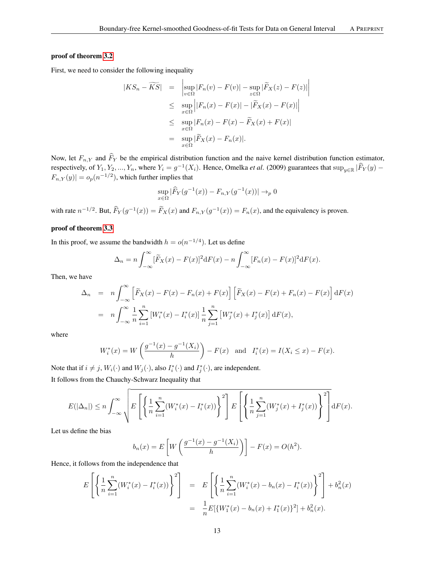### proof of theorem [3.2](#page-4-0)

First, we need to consider the following inequality

$$
\begin{array}{rcl} |KS_n - \widetilde{KS}| & = & \left| \sup_{v \in \Omega} |F_n(v) - F(v)| - \sup_{z \in \Omega} |\widetilde{F}_X(z) - F(z)| \right| \\ & \leq & \sup_{x \in \Omega} \left| |F_n(x) - F(x)| - |\widetilde{F}_X(x) - F(x)| \right| \\ & \leq & \sup_{x \in \Omega} |F_n(x) - F(x) - \widetilde{F}_X(x) + F(x)| \\ & = & \sup_{x \in \Omega} |\widetilde{F}_X(x) - F_n(x)|. \end{array}
$$

Now, let  $F_{n,Y}$  and  $\hat{F}_Y$  be the empirical distribution function and the naive kernel distribution function estimator, respectively, of  $Y_1, Y_2, ..., Y_n$ , where  $Y_i = g^{-1}(X_i)$ . Hence, Omelka *et al.* (2009) guarantees that  $\sup_{y \in \mathbb{R}} |\widehat{F}_Y(y) |F_{n,Y}(y)| = o_p(n^{-1/2})$ , which further implies that

$$
\sup_{x \in \Omega} |\widehat{F}_Y(g^{-1}(x)) - F_{n,Y}(g^{-1}(x))| \to_p 0
$$

with rate  $n^{-1/2}$ . But,  $\widehat{F}_Y(g^{-1}(x)) = \widetilde{F}_X(x)$  and  $F_{n,Y}(g^{-1}(x)) = F_n(x)$ , and the equivalency is proven.

# proof of theorem [3.3](#page-4-1)

In this proof, we assume the bandwidth  $h = o(n^{-1/4})$ . Let us define

$$
\Delta_n = n \int_{-\infty}^{\infty} [\widetilde{F}_X(x) - F(x)]^2 dF(x) - n \int_{-\infty}^{\infty} [F_n(x) - F(x)]^2 dF(x).
$$

Then, we have

$$
\Delta_n = n \int_{-\infty}^{\infty} \left[ \tilde{F}_X(x) - F(x) - F_n(x) + F(x) \right] \left[ \tilde{F}_X(x) - F(x) + F_n(x) - F(x) \right] dF(x)
$$
  
= 
$$
n \int_{-\infty}^{\infty} \frac{1}{n} \sum_{i=1}^n \left[ W_i^*(x) - I_i^*(x) \right] \frac{1}{n} \sum_{j=1}^n \left[ W_j^*(x) + I_j^*(x) \right] dF(x),
$$

where

$$
W_i^*(x) = W\left(\frac{g^{-1}(x) - g^{-1}(X_i)}{h}\right) - F(x) \text{ and } I_i^*(x) = I(X_i \le x) - F(x).
$$

Note that if  $i \neq j$ ,  $W_i(\cdot)$  and  $W_j(\cdot)$ , also  $I_i^*(\cdot)$  and  $I_j^*(\cdot)$ , are independent. It follows from the Chauchy-Schwarz Inequality that

$$
E(|\Delta_n|) \leq n \int_{-\infty}^{\infty} \sqrt{E\left[\left\{\frac{1}{n}\sum_{i=1}^n (W_i^*(x) - I_i^*(x))\right\}^2\right] E\left[\left\{\frac{1}{n}\sum_{j=1}^n (W_j^*(x) + I_j^*(x))\right\}^2\right]} dF(x).
$$

Let us define the bias

$$
b_n(x) = E\left[W\left(\frac{g^{-1}(x) - g^{-1}(X_i)}{h}\right)\right] - F(x) = O(h^2).
$$

Hence, it follows from the independence that

$$
E\left[\left\{\frac{1}{n}\sum_{i=1}^{n}(W_i^*(x) - I_i^*(x))\right\}^2\right] = E\left[\left\{\frac{1}{n}\sum_{i=1}^{n}(W_i^*(x) - b_n(x) - I_i^*(x))\right\}^2\right] + b_n^2(x)
$$
  

$$
= \frac{1}{n}E[\{W_1^*(x) - b_n(x) + I_1^*(x)\}^2] + b_n^2(x).
$$